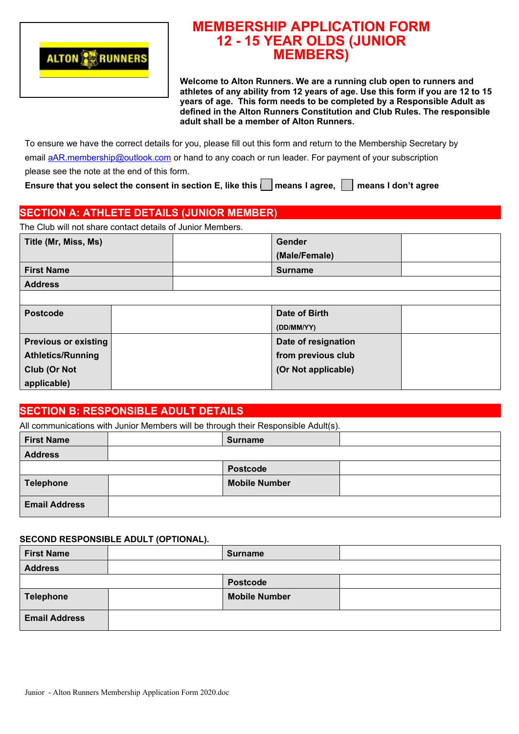

# **MEMBERSHIP APPLICATION FORM 12 - 15 YEAR OLDS (JUNIOR MEMBERS)**

**Welcome to Alton Runners. We are a running club open to runners and athletes of any ability from 12 years of age. Use this form if you are 12 to 15 years of age. This form needs to be completed by a Responsible Adult as defined in the Alton Runners Constitution and Club Rules. The responsible adult shall be a member of Alton Runners.**

To ensure we have the correct details for you, please fill out this form and return to the Membership Secretary by email [a A](mailto:altonrunnersmembership@outlook.com)R.membership@outlook.com or hand to any coach or run leader. For payment of your subscription please see the note at the end of this form.

Ensure that you select the consent in section E, like this **means I agree, all means I don't agree** 

# **SECTION A: ATHLETE DETAILS (JUNIOR MEMBER)**

The Club will not share contact details of Junior Members.

| Title (Mr, Miss, Ms)        |  | <b>Gender</b><br>(Male/Female) |  |
|-----------------------------|--|--------------------------------|--|
| <b>First Name</b>           |  | <b>Surname</b>                 |  |
| <b>Address</b>              |  |                                |  |
|                             |  |                                |  |
| <b>Postcode</b>             |  | Date of Birth                  |  |
|                             |  | (DD/MM/YY)                     |  |
| <b>Previous or existing</b> |  | Date of resignation            |  |
| <b>Athletics/Running</b>    |  | from previous club             |  |
| Club (Or Not                |  | (Or Not applicable)            |  |
| applicable)                 |  |                                |  |

## **SECTION B: RESPONSIBLE ADULT DETAILS**

| All communications with Junior Members will be through their Responsible Adult(s). |  |                      |  |
|------------------------------------------------------------------------------------|--|----------------------|--|
| <b>First Name</b>                                                                  |  | <b>Surname</b>       |  |
| <b>Address</b>                                                                     |  |                      |  |
|                                                                                    |  | <b>Postcode</b>      |  |
| <b>Telephone</b>                                                                   |  | <b>Mobile Number</b> |  |
| <b>Email Address</b>                                                               |  |                      |  |

#### **SECOND RESPONSIBLE ADULT (OPTIONAL).**

| <b>First Name</b>    | <b>Surname</b>       |  |
|----------------------|----------------------|--|
| <b>Address</b>       |                      |  |
|                      | <b>Postcode</b>      |  |
| Telephone            | <b>Mobile Number</b> |  |
| <b>Email Address</b> |                      |  |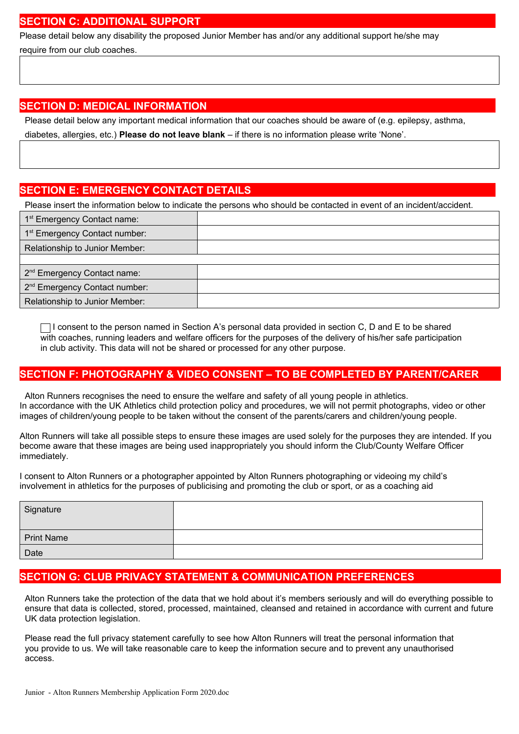#### **SECTION C: ADDITIONAL SUPPORT**

Please detail below any disability the proposed Junior Member has and/or any additional support he/she may require from our club coaches.

## **SECTION D: MEDICAL INFORMATION**

Please detail below any important medical information that our coaches should be aware of (e.g. epilepsy, asthma, diabetes, allergies, etc.) **Please do not leave blank** – if there is no information please write 'None'.

### **SECTION E: EMERGENCY CONTACT DETAILS**

Please insert the information below to indicate the persons who should be contacted in event of an incident/accident.

| 1 <sup>st</sup> Emergency Contact name:           |  |
|---------------------------------------------------|--|
| $\vert$ 1 <sup>st</sup> Emergency Contact number: |  |
| Relationship to Junior Member:                    |  |
|                                                   |  |
| 2 <sup>nd</sup> Emergency Contact name:           |  |
| 2 <sup>nd</sup> Emergency Contact number:         |  |
| Relationship to Junior Member:                    |  |

 $\Box$  I consent to the person named in Section A's personal data provided in section C, D and E to be shared with coaches, running leaders and welfare officers for the purposes of the delivery of his/her safe participation in club activity. This data will not be shared or processed for any other purpose.

### **SECTION F: PHOTOGRAPHY & VIDEO CONSENT – TO BE COMPLETED BY PARENT/CARER**

Alton Runners recognises the need to ensure the welfare and safety of all young people in athletics. In accordance with the UK Athletics child protection policy and procedures, we will not permit photographs, video or other images of children/young people to be taken without the consent of the parents/carers and children/young people.

Alton Runners will take all possible steps to ensure these images are used solely for the purposes they are intended. If you become aware that these images are being used inappropriately you should inform the Club/County Welfare Officer immediately.

I consent to Alton Runners or a photographer appointed by Alton Runners photographing or videoing my child's involvement in athletics for the purposes of publicising and promoting the club or sport, or as a coaching aid

| Signature         |  |
|-------------------|--|
| <b>Print Name</b> |  |
| Date              |  |

## **SECTION G: CLUB PRIVACY STATEMENT & COMMUNICATION PREFERENCES**

Alton Runners take the protection of the data that we hold about it's members seriously and will do everything possible to ensure that data is collected, stored, processed, maintained, cleansed and retained in accordance with current and future UK data protection legislation.

Please read the full privacy statement carefully to see how Alton Runners will treat the personal information that you provide to us. We will take reasonable care to keep the information secure and to prevent any unauthorised access.